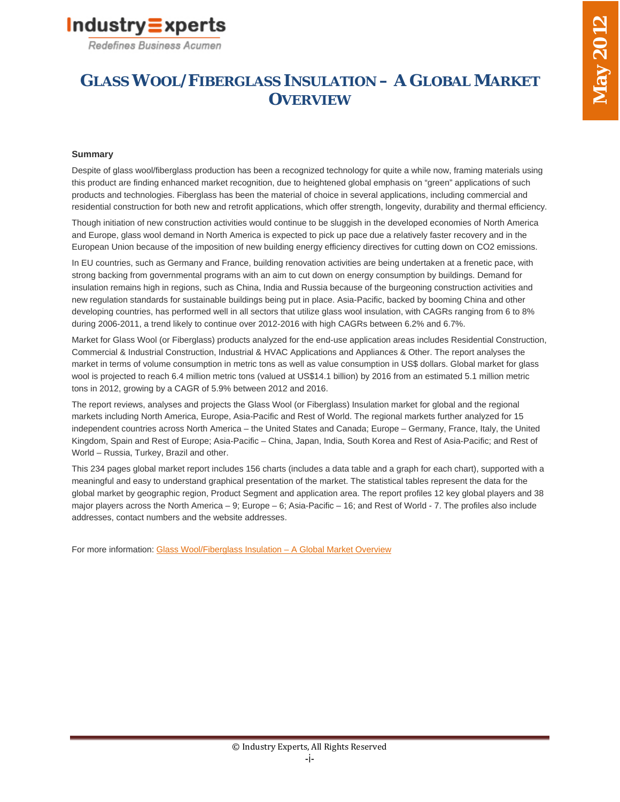

# **GLASS WOOL/FIBERGLASS INSULATION – A GLOBAL MARKET OVERVIEW**

### **Summary**

Despite of glass wool/fiberglass production has been a recognized technology for quite a while now, framing materials using this product are finding enhanced market recognition, due to heightened global emphasis on "green" applications of such products and technologies. Fiberglass has been the material of choice in several applications, including commercial and residential construction for both new and retrofit applications, which offer strength, longevity, durability and thermal efficiency.

Though initiation of new construction activities would continue to be sluggish in the developed economies of North America and Europe, glass wool demand in North America is expected to pick up pace due a relatively faster recovery and in the European Union because of the imposition of new building energy efficiency directives for cutting down on CO2 emissions.

In EU countries, such as Germany and France, building renovation activities are being undertaken at a frenetic pace, with strong backing from governmental programs with an aim to cut down on energy consumption by buildings. Demand for insulation remains high in regions, such as China, India and Russia because of the burgeoning construction activities and new regulation standards for sustainable buildings being put in place. Asia-Pacific, backed by booming China and other developing countries, has performed well in all sectors that utilize glass wool insulation, with CAGRs ranging from 6 to 8% during 2006-2011, a trend likely to continue over 2012-2016 with high CAGRs between 6.2% and 6.7%.

Market for Glass Wool (or Fiberglass) products analyzed for the end-use application areas includes Residential Construction, Commercial & Industrial Construction, Industrial & HVAC Applications and Appliances & Other. The report analyses the market in terms of volume consumption in metric tons as well as value consumption in US\$ dollars. Global market for glass wool is projected to reach 6.4 million metric tons (valued at US\$14.1 billion) by 2016 from an estimated 5.1 million metric tons in 2012, growing by a CAGR of 5.9% between 2012 and 2016.

The report reviews, analyses and projects the Glass Wool (or Fiberglass) Insulation market for global and the regional markets including North America, Europe, Asia-Pacific and Rest of World. The regional markets further analyzed for 15 independent countries across North America – the United States and Canada; Europe – Germany, France, Italy, the United Kingdom, Spain and Rest of Europe; Asia-Pacific – China, Japan, India, South Korea and Rest of Asia-Pacific; and Rest of World – Russia, Turkey, Brazil and other.

This 234 pages global market report includes 156 charts (includes a data table and a graph for each chart), supported with a meaningful and easy to understand graphical presentation of the market. The statistical tables represent the data for the global market by geographic region, Product Segment and application area. The report profiles 12 key global players and 38 major players across the North America – 9; Europe – 6; Asia-Pacific – 16; and Rest of World - 7. The profiles also include addresses, contact numbers and the website addresses.

For more information: Glass Wool/Fiberglass Insulation – A Global Market Overview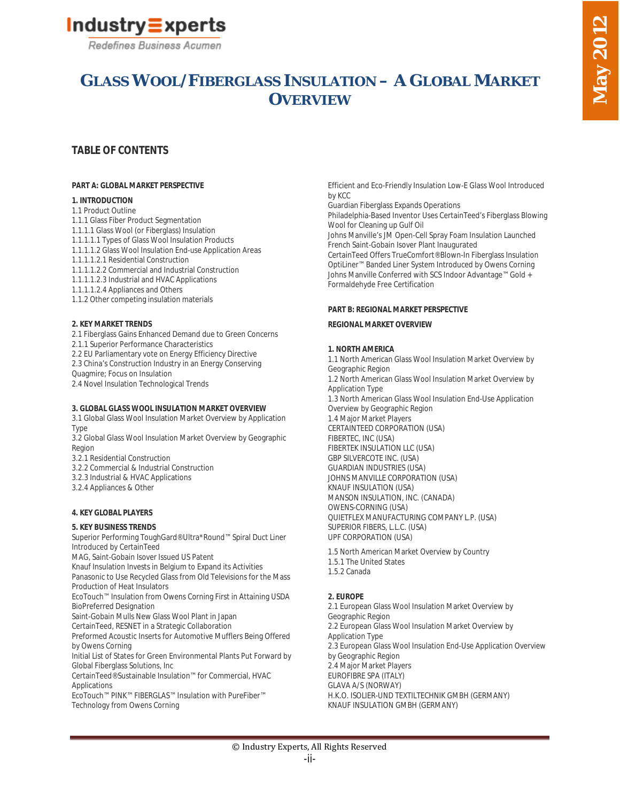

# **GLASS WOOL/FIBERGLASS INSULATION – A GLOBAL MARKET OVERVIEW**

## **TABLE OF CONTENTS**

#### **PART A: GLOBAL MARKET PERSPECTIVE**

#### **1. INTRODUCTION**

- 1.1 Product Outline
- 1.1.1 Glass Fiber Product Segmentation
- 1.1.1.1 Glass Wool (or Fiberglass) Insulation
- 1.1.1.1.1 Types of Glass Wool Insulation Products
- 1.1.1.1.2 Glass Wool Insulation End-use Application Areas
- 1.1.1.1.2.1 Residential Construction
- 1.1.1.1.2.2 Commercial and Industrial Construction
- 1.1.1.1.2.3 Industrial and HVAC Applications
- 1.1.1.1.2.4 Appliances and Others
- 1.1.2 Other competing insulation materials

#### **2. KEY MARKET TRENDS**

- 2.1 Fiberglass Gains Enhanced Demand due to Green Concerns
- 2.1.1 Superior Performance Characteristics
- 2.2 EU Parliamentary vote on Energy Efficiency Directive
- 2.3 China's Construction Industry in an Energy Conserving

Quagmire; Focus on Insulation

2.4 Novel Insulation Technological Trends

#### **3. GLOBAL GLASS WOOL INSULATION MARKET OVERVIEW**

- 3.1 Global Glass Wool Insulation Market Overview by Application Type
- 3.2 Global Glass Wool Insulation Market Overview by Geographic Region

3.2.1 Residential Construction

- 3.2.2 Commercial & Industrial Construction
- 3.2.3 Industrial & HVAC Applications
- 3.2.4 Appliances & Other

#### **4. KEY GLOBAL PLAYERS**

#### **5. KEY BUSINESS TRENDS**

Superior Performing ToughGard® Ultra\*Round™ Spiral Duct Liner Introduced by CertainTeed

MAG, Saint-Gobain Isover Issued US Patent

Knauf Insulation Invests in Belgium to Expand its Activities Panasonic to Use Recycled Glass from Old Televisions for the Mass

Production of Heat Insulators

EcoTouch™ Insulation from Owens Corning First in Attaining USDA BioPreferred Designation

Saint-Gobain Mulls New Glass Wool Plant in Japan

CertainTeed, RESNET in a Strategic Collaboration

Preformed Acoustic Inserts for Automotive Mufflers Being Offered by Owens Corning

Initial List of States for Green Environmental Plants Put Forward by Global Fiberglass Solutions, Inc

CertainTeed® Sustainable Insulation™ for Commercial, HVAC Applications

EcoTouch™ PINK™ FIBERGLAS™ Insulation with PureFiber™ Technology from Owens Corning

Efficient and Eco-Friendly Insulation Low-E Glass Wool Introduced by KCC

Guardian Fiberglass Expands Operations

Philadelphia-Based Inventor Uses CertainTeed's Fiberglass Blowing Wool for Cleaning up Gulf Oil

Johns Manville's JM Open-Cell Spray Foam Insulation Launched French Saint-Gobain Isover Plant Inaugurated

CertainTeed Offers TrueComfort® Blown-In Fiberglass Insulation OptiLiner™ Banded Liner System Introduced by Owens Corning Johns Manville Conferred with SCS Indoor Advantage™ Gold + Formaldehyde Free Certification

#### **PART B: REGIONAL MARKET PERSPECTIVE**

#### **REGIONAL MARKET OVERVIEW**

#### **1. NORTH AMERICA**

- 1.1 North American Glass Wool Insulation Market Overview by Geographic Region
- 1.2 North American Glass Wool Insulation Market Overview by Application Type 1.3 North American Glass Wool Insulation End-Use Application
- Overview by Geographic Region 1.4 Major Market Players
- CERTAINTEED CORPORATION (USA) FIBERTEC, INC (USA) FIBERTEK INSULATION LLC (USA) GBP SILVERCOTE INC. (USA)

GUARDIAN INDUSTRIES (USA) JOHNS MANVILLE CORPORATION (USA) KNAUF INSULATION (USA) MANSON INSULATION, INC. (CANADA) OWENS-CORNING (USA) QUIETFLEX MANUFACTURING COMPANY L.P. (USA) SUPERIOR FIBERS, L.L.C. (USA) UPF CORPORATION (USA)

- 1.5 North American Market Overview by Country 1.5.1 The United States
- 1.5.2 Canada

## **2. EUROPE**

2.1 European Glass Wool Insulation Market Overview by Geographic Region 2.2 European Glass Wool Insulation Market Overview by Application Type 2.3 European Glass Wool Insulation End-Use Application Overview by Geographic Region 2.4 Major Market Players EUROFIBRE SPA (ITALY) GLAVA A/S (NORWAY) H.K.O. ISOLIER-UND TEXTILTECHNIK GMBH (GERMANY) KNAUF INSULATION GMBH (GERMANY)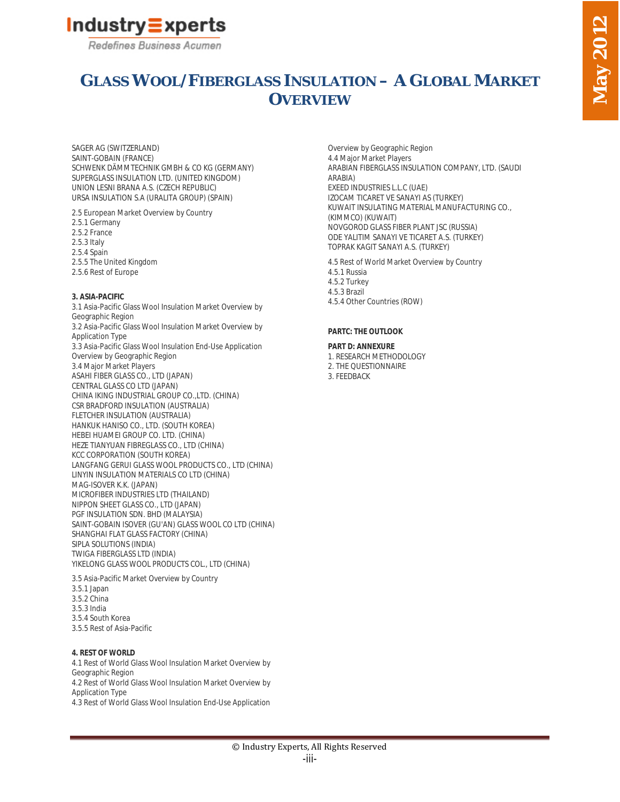

# **GLASS WOOL/FIBERGLASS INSULATION – A GLOBAL MARKET OVERVIEW**

SAGER AG (SWITZERLAND) SAINT-GOBAIN (FRANCE) SCHWENK DÄMMTECHNIK GMBH & CO KG (GERMANY) SUPERGLASS INSULATION LTD. (UNITED KINGDOM) UNION LESNI BRANA A.S. (CZECH REPUBLIC) URSA INSULATION S.A (URALITA GROUP) (SPAIN)

2.5 European Market Overview by Country 2.5.1 Germany 2.5.2 France 2.5.3 Italy

2.5.4 Spain 2.5.5 The United Kingdom

# 2.5.6 Rest of Europe

#### **3. ASIA-PACIFIC**

3.1 Asia-Pacific Glass Wool Insulation Market Overview by Geographic Region 3.2 Asia-Pacific Glass Wool Insulation Market Overview by Application Type 3.3 Asia-Pacific Glass Wool Insulation End-Use Application Overview by Geographic Region 3.4 Major Market Players ASAHI FIBER GLASS CO., LTD (JAPAN) CENTRAL GLASS CO LTD (JAPAN) CHINA IKING INDUSTRIAL GROUP CO.,LTD. (CHINA) CSR BRADFORD INSULATION (AUSTRALIA) FLETCHER INSULATION (AUSTRALIA) HANKUK HANISO CO., LTD. (SOUTH KOREA) HEBEI HUAMEI GROUP CO. LTD. (CHINA) HEZE TIANYUAN FIBREGLASS CO., LTD (CHINA) KCC CORPORATION (SOUTH KOREA) LANGFANG GERUI GLASS WOOL PRODUCTS CO., LTD (CHINA) LINYIN INSULATION MATERIALS CO LTD (CHINA) MAG-ISOVER K.K. (JAPAN) MICROFIBER INDUSTRIES LTD (THAILAND) NIPPON SHEET GLASS CO., LTD (JAPAN) PGF INSULATION SDN. BHD (MALAYSIA) SAINT-GOBAIN ISOVER (GU'AN) GLASS WOOL CO LTD (CHINA) SHANGHAI FLAT GLASS FACTORY (CHINA) SIPLA SOLUTIONS (INDIA) TWIGA FIBERGLASS LTD (INDIA) YIKELONG GLASS WOOL PRODUCTS COL., LTD (CHINA)

3.5 Asia-Pacific Market Overview by Country 3.5.1 Japan 3.5.2 China 3.5.3 India 3.5.4 South Korea 3.5.5 Rest of Asia-Pacific

#### **4. REST OF WORLD**

4.1 Rest of World Glass Wool Insulation Market Overview by Geographic Region 4.2 Rest of World Glass Wool Insulation Market Overview by Application Type 4.3 Rest of World Glass Wool Insulation End-Use Application

Overview by Geographic Region 4.4 Major Market Players ARABIAN FIBERGLASS INSULATION COMPANY, LTD. (SAUDI ARABIA) EXEED INDUSTRIES L.L.C (UAE) IZOCAM TICARET VE SANAYI AS (TURKEY) KUWAIT INSULATING MATERIAL MANUFACTURING CO., (KIMMCO) (KUWAIT) NOVGOROD GLASS FIBER PLANT JSC (RUSSIA) ODE YALITIM SANAYI VE TICARET A.S. (TURKEY) TOPRAK KAGIT SANAYI A.S. (TURKEY)

4.5 Rest of World Market Overview by Country 4.5.1 Russia 4.5.2 Turkey 4.5.3 Brazil 4.5.4 Other Countries (ROW)

#### **PARTC: THE OUTLOOK**

**PART D: ANNEXURE** 1. RESEARCH METHODOLOGY 2. THE QUESTIONNAIRE 3. FEEDBACK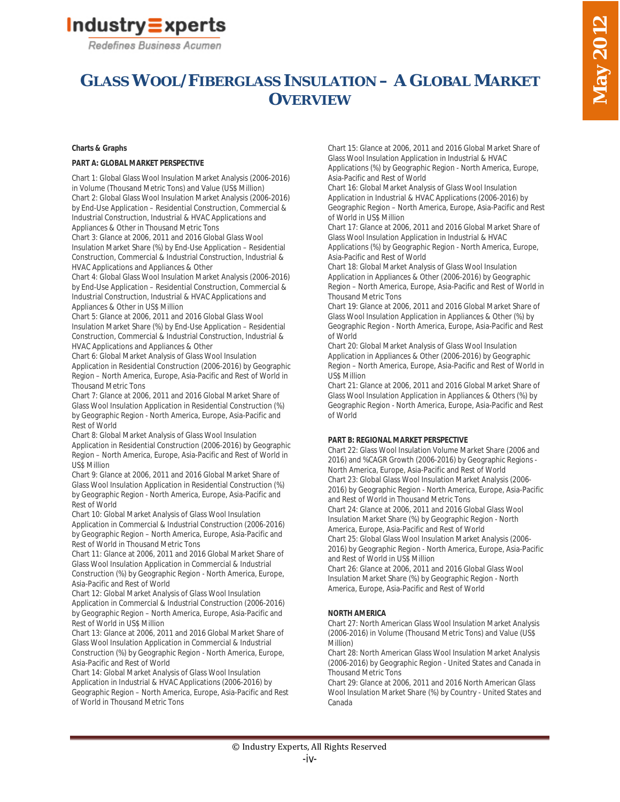# Industry = xperts

Redefines Business Acumen

# **GLASS WOOL/FIBERGLASS INSULATION – A GLOBAL MARKET OVERVIEW**

## **Charts & Graphs**

#### **PART A: GLOBAL MARKET PERSPECTIVE**

Chart 1: Global Glass Wool Insulation Market Analysis (2006-2016) in Volume (Thousand Metric Tons) and Value (US\$ Million) Chart 2: Global Glass Wool Insulation Market Analysis (2006-2016) by End-Use Application – Residential Construction, Commercial & Industrial Construction, Industrial & HVAC Applications and Appliances & Other in Thousand Metric Tons

Chart 3: Glance at 2006, 2011 and 2016 Global Glass Wool Insulation Market Share (%) by End-Use Application – Residential Construction, Commercial & Industrial Construction, Industrial & HVAC Applications and Appliances & Other

Chart 4: Global Glass Wool Insulation Market Analysis (2006-2016) by End-Use Application – Residential Construction, Commercial & Industrial Construction, Industrial & HVAC Applications and Appliances & Other in US\$ Million

Chart 5: Glance at 2006, 2011 and 2016 Global Glass Wool Insulation Market Share (%) by End-Use Application – Residential Construction, Commercial & Industrial Construction, Industrial & HVAC Applications and Appliances & Other

Chart 6: Global Market Analysis of Glass Wool Insulation Application in Residential Construction (2006-2016) by Geographic Region – North America, Europe, Asia-Pacific and Rest of World in Thousand Metric Tons

Chart 7: Glance at 2006, 2011 and 2016 Global Market Share of Glass Wool Insulation Application in Residential Construction (%) by Geographic Region - North America, Europe, Asia-Pacific and Rest of World

Chart 8: Global Market Analysis of Glass Wool Insulation Application in Residential Construction (2006-2016) by Geographic Region – North America, Europe, Asia-Pacific and Rest of World in US\$ Million

Chart 9: Glance at 2006, 2011 and 2016 Global Market Share of Glass Wool Insulation Application in Residential Construction (%) by Geographic Region - North America, Europe, Asia-Pacific and Rest of World

Chart 10: Global Market Analysis of Glass Wool Insulation Application in Commercial & Industrial Construction (2006-2016) by Geographic Region – North America, Europe, Asia-Pacific and Rest of World in Thousand Metric Tons

Chart 11: Glance at 2006, 2011 and 2016 Global Market Share of Glass Wool Insulation Application in Commercial & Industrial Construction (%) by Geographic Region - North America, Europe, Asia-Pacific and Rest of World

Chart 12: Global Market Analysis of Glass Wool Insulation Application in Commercial & Industrial Construction (2006-2016) by Geographic Region – North America, Europe, Asia-Pacific and Rest of World in US\$ Million

Chart 13: Glance at 2006, 2011 and 2016 Global Market Share of Glass Wool Insulation Application in Commercial & Industrial Construction (%) by Geographic Region - North America, Europe, Asia-Pacific and Rest of World

Chart 14: Global Market Analysis of Glass Wool Insulation Application in Industrial & HVAC Applications (2006-2016) by Geographic Region – North America, Europe, Asia-Pacific and Rest of World in Thousand Metric Tons

Chart 15: Glance at 2006, 2011 and 2016 Global Market Share of Glass Wool Insulation Application in Industrial & HVAC Applications (%) by Geographic Region - North America, Europe, Asia-Pacific and Rest of World

Chart 16: Global Market Analysis of Glass Wool Insulation Application in Industrial & HVAC Applications (2006-2016) by Geographic Region – North America, Europe, Asia-Pacific and Rest of World in US\$ Million

Chart 17: Glance at 2006, 2011 and 2016 Global Market Share of Glass Wool Insulation Application in Industrial & HVAC Applications (%) by Geographic Region - North America, Europe, Asia-Pacific and Rest of World

Chart 18: Global Market Analysis of Glass Wool Insulation Application in Appliances & Other (2006-2016) by Geographic Region – North America, Europe, Asia-Pacific and Rest of World in Thousand Metric Tons

Chart 19: Glance at 2006, 2011 and 2016 Global Market Share of Glass Wool Insulation Application in Appliances & Other (%) by Geographic Region - North America, Europe, Asia-Pacific and Rest of World

Chart 20: Global Market Analysis of Glass Wool Insulation Application in Appliances & Other (2006-2016) by Geographic Region – North America, Europe, Asia-Pacific and Rest of World in US\$ Million

Chart 21: Glance at 2006, 2011 and 2016 Global Market Share of Glass Wool Insulation Application in Appliances & Others (%) by Geographic Region - North America, Europe, Asia-Pacific and Rest of World

#### **PART B: REGIONAL MARKET PERSPECTIVE**

Chart 22: Glass Wool Insulation Volume Market Share (2006 and 2016) and %CAGR Growth (2006-2016) by Geographic Regions - North America, Europe, Asia-Pacific and Rest of World Chart 23: Global Glass Wool Insulation Market Analysis (2006- 2016) by Geographic Region - North America, Europe, Asia-Pacific and Rest of World in Thousand Metric Tons Chart 24: Glance at 2006, 2011 and 2016 Global Glass Wool

Insulation Market Share (%) by Geographic Region - North America, Europe, Asia-Pacific and Rest of World Chart 25: Global Glass Wool Insulation Market Analysis (2006- 2016) by Geographic Region - North America, Europe, Asia-Pacific and Rest of World in US\$ Million

Chart 26: Glance at 2006, 2011 and 2016 Global Glass Wool Insulation Market Share (%) by Geographic Region - North America, Europe, Asia-Pacific and Rest of World

## **NORTH AMERICA**

Chart 27: North American Glass Wool Insulation Market Analysis (2006-2016) in Volume (Thousand Metric Tons) and Value (US\$ Million)

Chart 28: North American Glass Wool Insulation Market Analysis (2006-2016) by Geographic Region - United States and Canada in Thousand Metric Tons

Chart 29: Glance at 2006, 2011 and 2016 North American Glass Wool Insulation Market Share (%) by Country - United States and Canada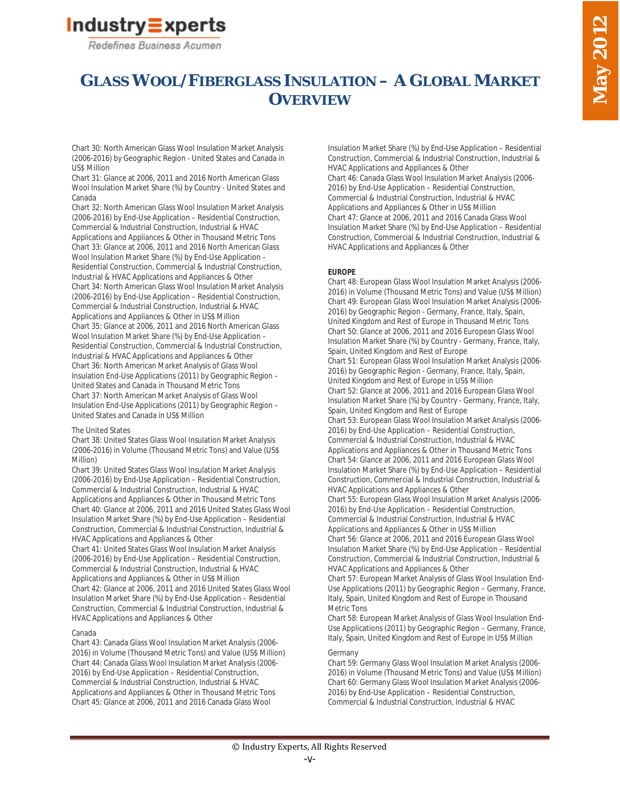

# **GLASS WOOL/FIBERGLASS INSULATION – A GLOBAL MARKET OVERVIEW**

Chart 30: North American Glass Wool Insulation Market Analysis (2006-2016) by Geographic Region - United States and Canada in US\$ Million

Chart 31: Glance at 2006, 2011 and 2016 North American Glass Wool Insulation Market Share (%) by Country - United States and Canada

Chart 32: North American Glass Wool Insulation Market Analysis (2006-2016) by End-Use Application – Residential Construction, Commercial & Industrial Construction, Industrial & HVAC Applications and Appliances & Other in Thousand Metric Tons Chart 33: Glance at 2006, 2011 and 2016 North American Glass Wool Insulation Market Share (%) by End-Use Application – Residential Construction, Commercial & Industrial Construction, Industrial & HVAC Applications and Appliances & Other Chart 34: North American Glass Wool Insulation Market Analysis (2006-2016) by End-Use Application – Residential Construction, Commercial & Industrial Construction, Industrial & HVAC Applications and Appliances & Other in US\$ Million Chart 35: Glance at 2006, 2011 and 2016 North American Glass Wool Insulation Market Share (%) by End-Use Application – Residential Construction, Commercial & Industrial Construction, Industrial & HVAC Applications and Appliances & Other Chart 36: North American Market Analysis of Glass Wool Insulation End-Use Applications (2011) by Geographic Region – United States and Canada in Thousand Metric Tons Chart 37: North American Market Analysis of Glass Wool Insulation End-Use Applications (2011) by Geographic Region – United States and Canada in US\$ Million

#### The United States

Chart 38: United States Glass Wool Insulation Market Analysis (2006-2016) in Volume (Thousand Metric Tons) and Value (US\$ Million)

Chart 39: United States Glass Wool Insulation Market Analysis (2006-2016) by End-Use Application – Residential Construction, Commercial & Industrial Construction, Industrial & HVAC Applications and Appliances & Other in Thousand Metric Tons Chart 40: Glance at 2006, 2011 and 2016 United States Glass Wool Insulation Market Share (%) by End-Use Application – Residential Construction, Commercial & Industrial Construction, Industrial & HVAC Applications and Appliances & Other

Chart 41: United States Glass Wool Insulation Market Analysis (2006-2016) by End-Use Application – Residential Construction, Commercial & Industrial Construction, Industrial & HVAC Applications and Appliances & Other in US\$ Million Chart 42: Glance at 2006, 2011 and 2016 United States Glass Wool Insulation Market Share (%) by End-Use Application – Residential Construction, Commercial & Industrial Construction, Industrial & HVAC Applications and Appliances & Other

#### Canada

Chart 43: Canada Glass Wool Insulation Market Analysis (2006- 2016) in Volume (Thousand Metric Tons) and Value (US\$ Million) Chart 44: Canada Glass Wool Insulation Market Analysis (2006- 2016) by End-Use Application – Residential Construction, Commercial & Industrial Construction, Industrial & HVAC Applications and Appliances & Other in Thousand Metric Tons Chart 45: Glance at 2006, 2011 and 2016 Canada Glass Wool

Insulation Market Share (%) by End-Use Application – Residential Construction, Commercial & Industrial Construction, Industrial & HVAC Applications and Appliances & Other

Chart 46: Canada Glass Wool Insulation Market Analysis (2006- 2016) by End-Use Application – Residential Construction, Commercial & Industrial Construction, Industrial & HVAC Applications and Appliances & Other in US\$ Million Chart 47: Glance at 2006, 2011 and 2016 Canada Glass Wool Insulation Market Share (%) by End-Use Application – Residential Construction, Commercial & Industrial Construction, Industrial & HVAC Applications and Appliances & Other

#### **EUROPE**

Chart 48: European Glass Wool Insulation Market Analysis (2006- 2016) in Volume (Thousand Metric Tons) and Value (US\$ Million) Chart 49: European Glass Wool Insulation Market Analysis (2006- 2016) by Geographic Region - Germany, France, Italy, Spain, United Kingdom and Rest of Europe in Thousand Metric Tons Chart 50: Glance at 2006, 2011 and 2016 European Glass Wool Insulation Market Share (%) by Country - Germany, France, Italy, Spain, United Kingdom and Rest of Europe Chart 51: European Glass Wool Insulation Market Analysis (2006- 2016) by Geographic Region - Germany, France, Italy, Spain, United Kingdom and Rest of Europe in US\$ Million Chart 52: Glance at 2006, 2011 and 2016 European Glass Wool Insulation Market Share (%) by Country - Germany, France, Italy, Spain, United Kingdom and Rest of Europe Chart 53: European Glass Wool Insulation Market Analysis (2006- 2016) by End-Use Application – Residential Construction, Commercial & Industrial Construction, Industrial & HVAC Applications and Appliances & Other in Thousand Metric Tons Chart 54: Glance at 2006, 2011 and 2016 European Glass Wool Insulation Market Share (%) by End-Use Application – Residential Construction, Commercial & Industrial Construction, Industrial & HVAC Applications and Appliances & Other

Chart 55: European Glass Wool Insulation Market Analysis (2006- 2016) by End-Use Application – Residential Construction, Commercial & Industrial Construction, Industrial & HVAC Applications and Appliances & Other in US\$ Million Chart 56: Glance at 2006, 2011 and 2016 European Glass Wool Insulation Market Share (%) by End-Use Application – Residential Construction, Commercial & Industrial Construction, Industrial & HVAC Applications and Appliances & Other

Chart 57: European Market Analysis of Glass Wool Insulation End-Use Applications (2011) by Geographic Region – Germany, France, Italy, Spain, United Kingdom and Rest of Europe in Thousand Metric Tons

Chart 58: European Market Analysis of Glass Wool Insulation End-Use Applications (2011) by Geographic Region – Germany, France, Italy, Spain, United Kingdom and Rest of Europe in US\$ Million

#### Germany

Chart 59: Germany Glass Wool Insulation Market Analysis (2006- 2016) in Volume (Thousand Metric Tons) and Value (US\$ Million) Chart 60: Germany Glass Wool Insulation Market Analysis (2006- 2016) by End-Use Application – Residential Construction, Commercial & Industrial Construction, Industrial & HVAC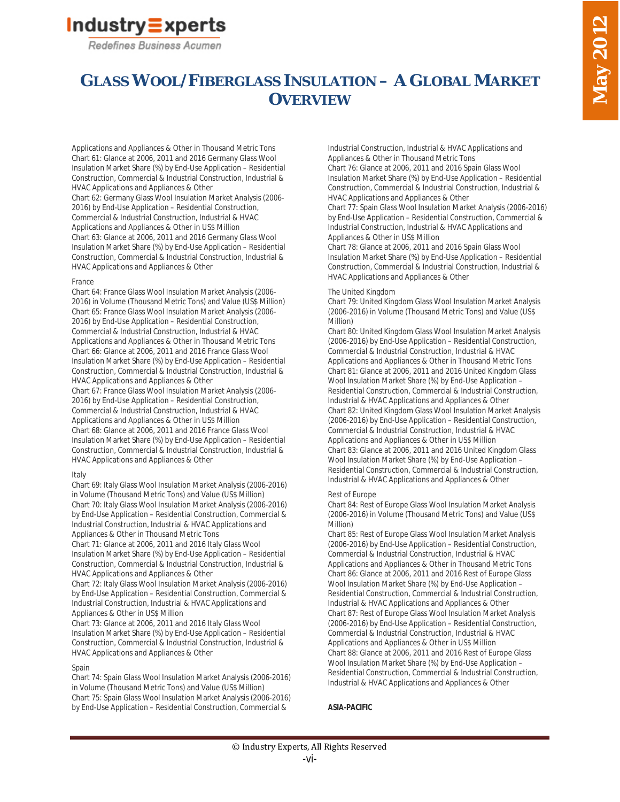# Industry = xperts

Redefines Business Acumen

# **GLASS WOOL/FIBERGLASS INSULATION – A GLOBAL MARKET OVERVIEW**

Applications and Appliances & Other in Thousand Metric Tons Chart 61: Glance at 2006, 2011 and 2016 Germany Glass Wool Insulation Market Share (%) by End-Use Application – Residential Construction, Commercial & Industrial Construction, Industrial & HVAC Applications and Appliances & Other

Chart 62: Germany Glass Wool Insulation Market Analysis (2006- 2016) by End-Use Application – Residential Construction, Commercial & Industrial Construction, Industrial & HVAC Applications and Appliances & Other in US\$ Million Chart 63: Glance at 2006, 2011 and 2016 Germany Glass Wool Insulation Market Share (%) by End-Use Application – Residential Construction, Commercial & Industrial Construction, Industrial & HVAC Applications and Appliances & Other

#### France

Chart 64: France Glass Wool Insulation Market Analysis (2006- 2016) in Volume (Thousand Metric Tons) and Value (US\$ Million) Chart 65: France Glass Wool Insulation Market Analysis (2006- 2016) by End-Use Application – Residential Construction, Commercial & Industrial Construction, Industrial & HVAC Applications and Appliances & Other in Thousand Metric Tons Chart 66: Glance at 2006, 2011 and 2016 France Glass Wool Insulation Market Share (%) by End-Use Application – Residential Construction, Commercial & Industrial Construction, Industrial & HVAC Applications and Appliances & Other Chart 67: France Glass Wool Insulation Market Analysis (2006-

2016) by End-Use Application – Residential Construction, Commercial & Industrial Construction, Industrial & HVAC Applications and Appliances & Other in US\$ Million Chart 68: Glance at 2006, 2011 and 2016 France Glass Wool Insulation Market Share (%) by End-Use Application – Residential Construction, Commercial & Industrial Construction, Industrial & HVAC Applications and Appliances & Other

## Italy

Chart 69: Italy Glass Wool Insulation Market Analysis (2006-2016) in Volume (Thousand Metric Tons) and Value (US\$ Million) Chart 70: Italy Glass Wool Insulation Market Analysis (2006-2016) by End-Use Application – Residential Construction, Commercial & Industrial Construction, Industrial & HVAC Applications and Appliances & Other in Thousand Metric Tons

Chart 71: Glance at 2006, 2011 and 2016 Italy Glass Wool Insulation Market Share (%) by End-Use Application – Residential Construction, Commercial & Industrial Construction, Industrial & HVAC Applications and Appliances & Other

Chart 72: Italy Glass Wool Insulation Market Analysis (2006-2016) by End-Use Application – Residential Construction, Commercial & Industrial Construction, Industrial & HVAC Applications and Appliances & Other in US\$ Million

Chart 73: Glance at 2006, 2011 and 2016 Italy Glass Wool Insulation Market Share (%) by End-Use Application – Residential Construction, Commercial & Industrial Construction, Industrial & HVAC Applications and Appliances & Other

## Spain

Chart 74: Spain Glass Wool Insulation Market Analysis (2006-2016) in Volume (Thousand Metric Tons) and Value (US\$ Million) Chart 75: Spain Glass Wool Insulation Market Analysis (2006-2016) by End-Use Application – Residential Construction, Commercial &

Industrial Construction, Industrial & HVAC Applications and Appliances & Other in Thousand Metric Tons

Chart 76: Glance at 2006, 2011 and 2016 Spain Glass Wool Insulation Market Share (%) by End-Use Application – Residential Construction, Commercial & Industrial Construction, Industrial & HVAC Applications and Appliances & Other

Chart 77: Spain Glass Wool Insulation Market Analysis (2006-2016) by End-Use Application – Residential Construction, Commercial & Industrial Construction, Industrial & HVAC Applications and Appliances & Other in US\$ Million

Chart 78: Glance at 2006, 2011 and 2016 Spain Glass Wool Insulation Market Share (%) by End-Use Application – Residential Construction, Commercial & Industrial Construction, Industrial & HVAC Applications and Appliances & Other

## The United Kingdom

Chart 79: United Kingdom Glass Wool Insulation Market Analysis (2006-2016) in Volume (Thousand Metric Tons) and Value (US\$ Million)

Chart 80: United Kingdom Glass Wool Insulation Market Analysis (2006-2016) by End-Use Application – Residential Construction, Commercial & Industrial Construction, Industrial & HVAC Applications and Appliances & Other in Thousand Metric Tons Chart 81: Glance at 2006, 2011 and 2016 United Kingdom Glass Wool Insulation Market Share (%) by End-Use Application – Residential Construction, Commercial & Industrial Construction, Industrial & HVAC Applications and Appliances & Other Chart 82: United Kingdom Glass Wool Insulation Market Analysis (2006-2016) by End-Use Application – Residential Construction, Commercial & Industrial Construction, Industrial & HVAC Applications and Appliances & Other in US\$ Million Chart 83: Glance at 2006, 2011 and 2016 United Kingdom Glass Wool Insulation Market Share (%) by End-Use Application – Residential Construction, Commercial & Industrial Construction, Industrial & HVAC Applications and Appliances & Other

#### Rest of Europe

Chart 84: Rest of Europe Glass Wool Insulation Market Analysis (2006-2016) in Volume (Thousand Metric Tons) and Value (US\$ Million)

Chart 85: Rest of Europe Glass Wool Insulation Market Analysis (2006-2016) by End-Use Application – Residential Construction, Commercial & Industrial Construction, Industrial & HVAC Applications and Appliances & Other in Thousand Metric Tons Chart 86: Glance at 2006, 2011 and 2016 Rest of Europe Glass Wool Insulation Market Share (%) by End-Use Application – Residential Construction, Commercial & Industrial Construction, Industrial & HVAC Applications and Appliances & Other Chart 87: Rest of Europe Glass Wool Insulation Market Analysis (2006-2016) by End-Use Application – Residential Construction, Commercial & Industrial Construction, Industrial & HVAC Applications and Appliances & Other in US\$ Million Chart 88: Glance at 2006, 2011 and 2016 Rest of Europe Glass Wool Insulation Market Share (%) by End-Use Application – Residential Construction, Commercial & Industrial Construction, Industrial & HVAC Applications and Appliances & Other

## **ASIA-PACIFIC**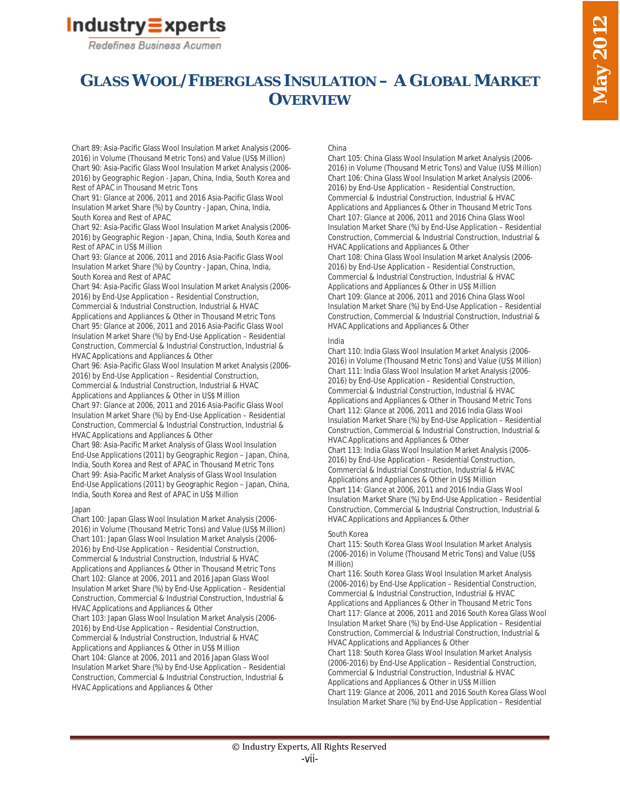# Industry = xperts

Redefines Business Acumen

# **GLASS WOOL/FIBERGLASS INSULATION – A GLOBAL MARKET OVERVIEW**

Chart 89: Asia-Pacific Glass Wool Insulation Market Analysis (2006- 2016) in Volume (Thousand Metric Tons) and Value (US\$ Million) Chart 90: Asia-Pacific Glass Wool Insulation Market Analysis (2006- 2016) by Geographic Region - Japan, China, India, South Korea and Rest of APAC in Thousand Metric Tons

Chart 91: Glance at 2006, 2011 and 2016 Asia-Pacific Glass Wool Insulation Market Share (%) by Country - Japan, China, India, South Korea and Rest of APAC

Chart 92: Asia-Pacific Glass Wool Insulation Market Analysis (2006- 2016) by Geographic Region - Japan, China, India, South Korea and Rest of APAC in US\$ Million

Chart 93: Glance at 2006, 2011 and 2016 Asia-Pacific Glass Wool Insulation Market Share (%) by Country - Japan, China, India, South Korea and Rest of APAC

Chart 94: Asia-Pacific Glass Wool Insulation Market Analysis (2006- 2016) by End-Use Application – Residential Construction, Commercial & Industrial Construction, Industrial & HVAC Applications and Appliances & Other in Thousand Metric Tons Chart 95: Glance at 2006, 2011 and 2016 Asia-Pacific Glass Wool Insulation Market Share (%) by End-Use Application – Residential Construction, Commercial & Industrial Construction, Industrial & HVAC Applications and Appliances & Other

Chart 96: Asia-Pacific Glass Wool Insulation Market Analysis (2006- 2016) by End-Use Application – Residential Construction, Commercial & Industrial Construction, Industrial & HVAC Applications and Appliances & Other in US\$ Million Chart 97: Glance at 2006, 2011 and 2016 Asia-Pacific Glass Wool Insulation Market Share (%) by End-Use Application – Residential

Construction, Commercial & Industrial Construction, Industrial & HVAC Applications and Appliances & Other Chart 98: Asia-Pacific Market Analysis of Glass Wool Insulation

End-Use Applications (2011) by Geographic Region – Japan, China, India, South Korea and Rest of APAC in Thousand Metric Tons Chart 99: Asia-Pacific Market Analysis of Glass Wool Insulation End-Use Applications (2011) by Geographic Region – Japan, China, India, South Korea and Rest of APAC in US\$ Million

#### Japan

Chart 100: Japan Glass Wool Insulation Market Analysis (2006- 2016) in Volume (Thousand Metric Tons) and Value (US\$ Million) Chart 101: Japan Glass Wool Insulation Market Analysis (2006- 2016) by End-Use Application – Residential Construction, Commercial & Industrial Construction, Industrial & HVAC Applications and Appliances & Other in Thousand Metric Tons Chart 102: Glance at 2006, 2011 and 2016 Japan Glass Wool Insulation Market Share (%) by End-Use Application – Residential Construction, Commercial & Industrial Construction, Industrial & HVAC Applications and Appliances & Other Chart 103: Japan Glass Wool Insulation Market Analysis (2006- 2016) by End-Use Application – Residential Construction, Commercial & Industrial Construction, Industrial & HVAC Applications and Appliances & Other in US\$ Million Chart 104: Glance at 2006, 2011 and 2016 Japan Glass Wool Insulation Market Share (%) by End-Use Application – Residential Construction, Commercial & Industrial Construction, Industrial & HVAC Applications and Appliances & Other

#### China

Chart 105: China Glass Wool Insulation Market Analysis (2006- 2016) in Volume (Thousand Metric Tons) and Value (US\$ Million) Chart 106: China Glass Wool Insulation Market Analysis (2006- 2016) by End-Use Application – Residential Construction, Commercial & Industrial Construction, Industrial & HVAC Applications and Appliances & Other in Thousand Metric Tons Chart 107: Glance at 2006, 2011 and 2016 China Glass Wool Insulation Market Share (%) by End-Use Application – Residential Construction, Commercial & Industrial Construction, Industrial & HVAC Applications and Appliances & Other

Chart 108: China Glass Wool Insulation Market Analysis (2006- 2016) by End-Use Application – Residential Construction, Commercial & Industrial Construction, Industrial & HVAC Applications and Appliances & Other in US\$ Million Chart 109: Glance at 2006, 2011 and 2016 China Glass Wool Insulation Market Share (%) by End-Use Application – Residential Construction, Commercial & Industrial Construction, Industrial & HVAC Applications and Appliances & Other

#### India

Chart 110: India Glass Wool Insulation Market Analysis (2006- 2016) in Volume (Thousand Metric Tons) and Value (US\$ Million) Chart 111: India Glass Wool Insulation Market Analysis (2006- 2016) by End-Use Application – Residential Construction, Commercial & Industrial Construction, Industrial & HVAC Applications and Appliances & Other in Thousand Metric Tons Chart 112: Glance at 2006, 2011 and 2016 India Glass Wool Insulation Market Share (%) by End-Use Application – Residential Construction, Commercial & Industrial Construction, Industrial & HVAC Applications and Appliances & Other Chart 113: India Glass Wool Insulation Market Analysis (2006- 2016) by End-Use Application – Residential Construction, Commercial & Industrial Construction, Industrial & HVAC Applications and Appliances & Other in US\$ Million Chart 114: Glance at 2006, 2011 and 2016 India Glass Wool Insulation Market Share (%) by End-Use Application – Residential Construction, Commercial & Industrial Construction, Industrial & HVAC Applications and Appliances & Other

#### South Korea

Chart 115: South Korea Glass Wool Insulation Market Analysis (2006-2016) in Volume (Thousand Metric Tons) and Value (US\$ Million)

Chart 116: South Korea Glass Wool Insulation Market Analysis (2006-2016) by End-Use Application – Residential Construction, Commercial & Industrial Construction, Industrial & HVAC Applications and Appliances & Other in Thousand Metric Tons Chart 117: Glance at 2006, 2011 and 2016 South Korea Glass Wool Insulation Market Share (%) by End-Use Application – Residential Construction, Commercial & Industrial Construction, Industrial & HVAC Applications and Appliances & Other

Chart 118: South Korea Glass Wool Insulation Market Analysis (2006-2016) by End-Use Application – Residential Construction, Commercial & Industrial Construction, Industrial & HVAC Applications and Appliances & Other in US\$ Million Chart 119: Glance at 2006, 2011 and 2016 South Korea Glass Wool Insulation Market Share (%) by End-Use Application – Residential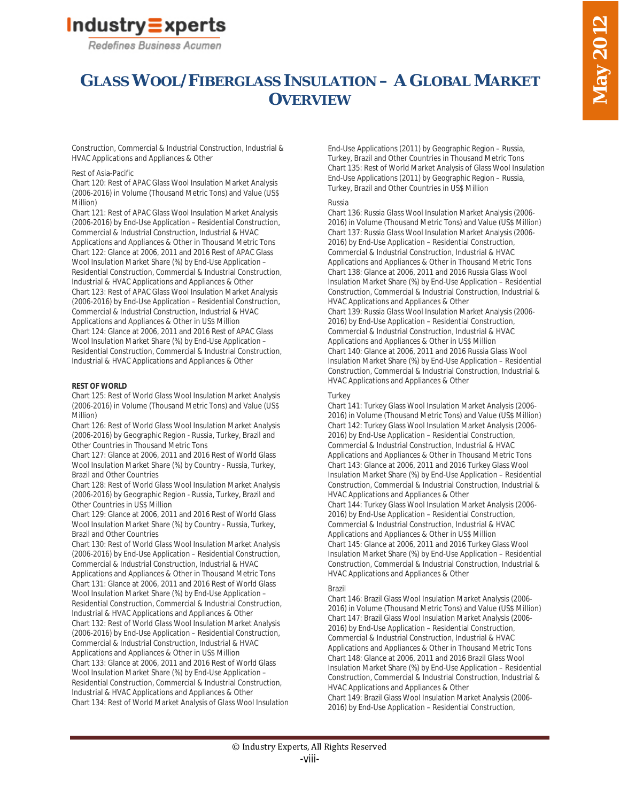

# **GLASS WOOL/FIBERGLASS INSULATION – A GLOBAL MARKET OVERVIEW**

Construction, Commercial & Industrial Construction, Industrial & HVAC Applications and Appliances & Other

## Rest of Asia-Pacific

Chart 120: Rest of APAC Glass Wool Insulation Market Analysis (2006-2016) in Volume (Thousand Metric Tons) and Value (US\$ Million)

Chart 121: Rest of APAC Glass Wool Insulation Market Analysis (2006-2016) by End-Use Application – Residential Construction, Commercial & Industrial Construction, Industrial & HVAC Applications and Appliances & Other in Thousand Metric Tons Chart 122: Glance at 2006, 2011 and 2016 Rest of APAC Glass Wool Insulation Market Share (%) by End-Use Application – Residential Construction, Commercial & Industrial Construction, Industrial & HVAC Applications and Appliances & Other Chart 123: Rest of APAC Glass Wool Insulation Market Analysis (2006-2016) by End-Use Application – Residential Construction, Commercial & Industrial Construction, Industrial & HVAC Applications and Appliances & Other in US\$ Million Chart 124: Glance at 2006, 2011 and 2016 Rest of APAC Glass Wool Insulation Market Share (%) by End-Use Application – Residential Construction, Commercial & Industrial Construction, Industrial & HVAC Applications and Appliances & Other

## **REST OF WORLD**

Chart 125: Rest of World Glass Wool Insulation Market Analysis (2006-2016) in Volume (Thousand Metric Tons) and Value (US\$ Million)

Chart 126: Rest of World Glass Wool Insulation Market Analysis (2006-2016) by Geographic Region - Russia, Turkey, Brazil and Other Countries in Thousand Metric Tons

Chart 127: Glance at 2006, 2011 and 2016 Rest of World Glass Wool Insulation Market Share (%) by Country - Russia, Turkey, Brazil and Other Countries

Chart 128: Rest of World Glass Wool Insulation Market Analysis (2006-2016) by Geographic Region - Russia, Turkey, Brazil and Other Countries in US\$ Million

Chart 129: Glance at 2006, 2011 and 2016 Rest of World Glass Wool Insulation Market Share (%) by Country - Russia, Turkey, Brazil and Other Countries

Chart 130: Rest of World Glass Wool Insulation Market Analysis (2006-2016) by End-Use Application – Residential Construction, Commercial & Industrial Construction, Industrial & HVAC Applications and Appliances & Other in Thousand Metric Tons Chart 131: Glance at 2006, 2011 and 2016 Rest of World Glass Wool Insulation Market Share (%) by End-Use Application – Residential Construction, Commercial & Industrial Construction, Industrial & HVAC Applications and Appliances & Other Chart 132: Rest of World Glass Wool Insulation Market Analysis (2006-2016) by End-Use Application – Residential Construction, Commercial & Industrial Construction, Industrial & HVAC Applications and Appliances & Other in US\$ Million Chart 133: Glance at 2006, 2011 and 2016 Rest of World Glass Wool Insulation Market Share (%) by End-Use Application –

Residential Construction, Commercial & Industrial Construction, Industrial & HVAC Applications and Appliances & Other Chart 134: Rest of World Market Analysis of Glass Wool Insulation End-Use Applications (2011) by Geographic Region – Russia, Turkey, Brazil and Other Countries in Thousand Metric Tons Chart 135: Rest of World Market Analysis of Glass Wool Insulation End-Use Applications (2011) by Geographic Region – Russia, Turkey, Brazil and Other Countries in US\$ Million

#### Russia

Chart 136: Russia Glass Wool Insulation Market Analysis (2006- 2016) in Volume (Thousand Metric Tons) and Value (US\$ Million) Chart 137: Russia Glass Wool Insulation Market Analysis (2006- 2016) by End-Use Application – Residential Construction, Commercial & Industrial Construction, Industrial & HVAC Applications and Appliances & Other in Thousand Metric Tons Chart 138: Glance at 2006, 2011 and 2016 Russia Glass Wool Insulation Market Share (%) by End-Use Application – Residential Construction, Commercial & Industrial Construction, Industrial & HVAC Applications and Appliances & Other

Chart 139: Russia Glass Wool Insulation Market Analysis (2006- 2016) by End-Use Application – Residential Construction, Commercial & Industrial Construction, Industrial & HVAC Applications and Appliances & Other in US\$ Million Chart 140: Glance at 2006, 2011 and 2016 Russia Glass Wool Insulation Market Share (%) by End-Use Application – Residential Construction, Commercial & Industrial Construction, Industrial & HVAC Applications and Appliances & Other

#### **Turkey**

Chart 141: Turkey Glass Wool Insulation Market Analysis (2006- 2016) in Volume (Thousand Metric Tons) and Value (US\$ Million) Chart 142: Turkey Glass Wool Insulation Market Analysis (2006- 2016) by End-Use Application – Residential Construction, Commercial & Industrial Construction, Industrial & HVAC Applications and Appliances & Other in Thousand Metric Tons Chart 143: Glance at 2006, 2011 and 2016 Turkey Glass Wool Insulation Market Share (%) by End-Use Application – Residential Construction, Commercial & Industrial Construction, Industrial & HVAC Applications and Appliances & Other Chart 144: Turkey Glass Wool Insulation Market Analysis (2006- 2016) by End-Use Application – Residential Construction, Commercial & Industrial Construction, Industrial & HVAC Applications and Appliances & Other in US\$ Million Chart 145: Glance at 2006, 2011 and 2016 Turkey Glass Wool Insulation Market Share (%) by End-Use Application – Residential Construction, Commercial & Industrial Construction, Industrial &

#### Brazil

Chart 146: Brazil Glass Wool Insulation Market Analysis (2006- 2016) in Volume (Thousand Metric Tons) and Value (US\$ Million) Chart 147: Brazil Glass Wool Insulation Market Analysis (2006- 2016) by End-Use Application – Residential Construction, Commercial & Industrial Construction, Industrial & HVAC Applications and Appliances & Other in Thousand Metric Tons Chart 148: Glance at 2006, 2011 and 2016 Brazil Glass Wool Insulation Market Share (%) by End-Use Application – Residential Construction, Commercial & Industrial Construction, Industrial & HVAC Applications and Appliances & Other Chart 149: Brazil Glass Wool Insulation Market Analysis (2006-

HVAC Applications and Appliances & Other

2016) by End-Use Application – Residential Construction,